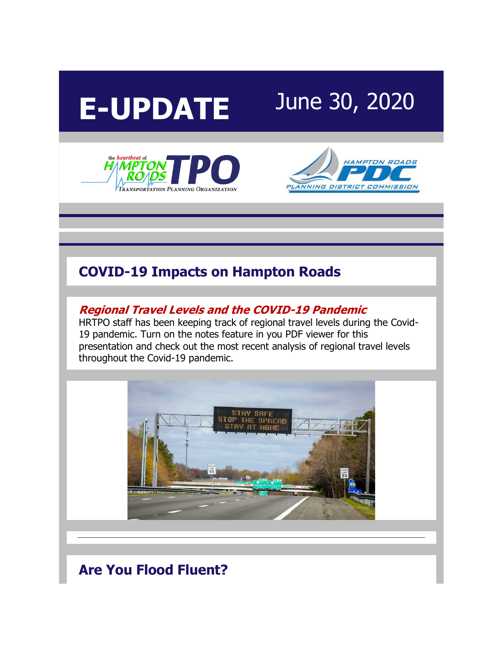

the *heartbeat* of

*HAMPTO* 



**LANNING DISTRICT COMMISSION** 



## **COVID-19 Impacts on Hampton Roads**

#### **[Regional Travel Levels and the COVID-19 Pandemic](http://r20.rs6.net/tn.jsp?f=001xVPhqpZI081hprNcaf994tpyg76mSqhsMaj9qr1Jlgggzn3WO_diloMS2oiXNbGUG9Y9RrbJ_dCPHQJgIftY0eKMYWkd7jxoNniKmZgKoXxfvxdeeoI-dPe6tSvfFqqEGtRCm7l86KvXXFgn4sMRx1ZZHT-YCzASCFQz7fwr8C2S5XbA1kKQ64Ok_OtDQh7LsI0l_NVeeYbjRnJyD2tX8WNTiaWuEKuOZXvpATmbjfh5-27wo1Od9gTq9P8rpTjN8yr_DKyWG8Q=&c=4jtw4Mi62eDeuBG1vKixEZj76Ayn14mZOPxQgSecdtK3nsNH4v7pQA==&ch=CK1oLEPfPlI8NQRNz-SDBQ53k4N-ekkjBko7UYgSQxTrWr1accsg0w==)**

HRTPO staff has been keeping track of regional travel levels during the Covid-19 pandemic. Turn on the notes feature in you PDF viewer for this presentation and check out the most recent analysis of regional travel levels throughout the Covid-19 pandemic.



**Are You Flood Fluent?**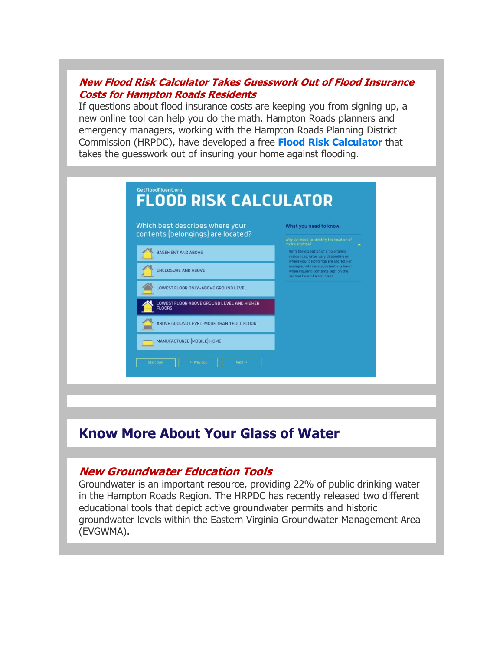#### **[New Flood Risk Calculator Takes Guesswork Out of Flood Insurance](http://r20.rs6.net/tn.jsp?f=001xVPhqpZI081hprNcaf994tpyg76mSqhsMaj9qr1Jlgggzn3WO_diloMS2oiXNbGUcn5Ck-oUsoET6UC0BGtoLVh0w4ufmgRhYmuyA-FSSxR0NN23tgnpYwQLao9Xm1pec2SfQfoJgnCl-Oj8s_1yV_jqsjvc35CQPJ5bjsM8rZBJdbvDcDF8iwff2h695n6fPB7zx0Y3AtjVDhRSaXUszdaooiAb8YI2iQdmKQe5xZM7jG1JVpalAwIjA2mQ60ExUIghUHi5k3m2x_BxIA5WccM8JrSqW8VGHkm0HEE7iSLBo6gLqn2_3Mumb08fc71qmw0t4K5Aji4=&c=4jtw4Mi62eDeuBG1vKixEZj76Ayn14mZOPxQgSecdtK3nsNH4v7pQA==&ch=CK1oLEPfPlI8NQRNz-SDBQ53k4N-ekkjBko7UYgSQxTrWr1accsg0w==)  [Costs for Hampton Roads Residents](http://r20.rs6.net/tn.jsp?f=001xVPhqpZI081hprNcaf994tpyg76mSqhsMaj9qr1Jlgggzn3WO_diloMS2oiXNbGUcn5Ck-oUsoET6UC0BGtoLVh0w4ufmgRhYmuyA-FSSxR0NN23tgnpYwQLao9Xm1pec2SfQfoJgnCl-Oj8s_1yV_jqsjvc35CQPJ5bjsM8rZBJdbvDcDF8iwff2h695n6fPB7zx0Y3AtjVDhRSaXUszdaooiAb8YI2iQdmKQe5xZM7jG1JVpalAwIjA2mQ60ExUIghUHi5k3m2x_BxIA5WccM8JrSqW8VGHkm0HEE7iSLBo6gLqn2_3Mumb08fc71qmw0t4K5Aji4=&c=4jtw4Mi62eDeuBG1vKixEZj76Ayn14mZOPxQgSecdtK3nsNH4v7pQA==&ch=CK1oLEPfPlI8NQRNz-SDBQ53k4N-ekkjBko7UYgSQxTrWr1accsg0w==)**

If questions about flood insurance costs are keeping you from signing up, a new online tool can help you do the math. Hampton Roads planners and emergency managers, working with the Hampton Roads Planning District Commission (HRPDC), have developed a free **[Flood Risk Calculator](http://r20.rs6.net/tn.jsp?f=001xVPhqpZI081hprNcaf994tpyg76mSqhsMaj9qr1Jlgggzn3WO_diloMS2oiXNbGUZ1KL5yDraEhCrC0T_Z2rDLizevuUq8xC5eSYKNgjj9KytEVLojjAWJEexP0Zxp_avAGyizYzKBdinjT88cuPGXbAJcja2nHd6bj9d6P9t5CcSwNWYhsAumciWGrTZFauf7hLWdo04ms=&c=4jtw4Mi62eDeuBG1vKixEZj76Ayn14mZOPxQgSecdtK3nsNH4v7pQA==&ch=CK1oLEPfPlI8NQRNz-SDBQ53k4N-ekkjBko7UYgSQxTrWr1accsg0w==)** that takes the guesswork out of insuring your home against flooding.



# **Know More About Your Glass of Water**

### **[New Groundwater Education Tools](http://r20.rs6.net/tn.jsp?f=001xVPhqpZI081hprNcaf994tpyg76mSqhsMaj9qr1Jlgggzn3WO_diloMS2oiXNbGUouSEmedJFx4jFbV9gWT11a2YS0xuOeIrpwwWfs6xAbUB13ojRJG9VxNSrPbrp3xf8Pxds8VljEwrovzL2kgUxDNicpK2HL0O_Y0C2iveven5TE60nw1lsSonmN_yPRBsAZcDirqO5prp43tr_KSOwyDL070wYhtKMj42faJN5OdUZ7e_4m0QNQ==&c=4jtw4Mi62eDeuBG1vKixEZj76Ayn14mZOPxQgSecdtK3nsNH4v7pQA==&ch=CK1oLEPfPlI8NQRNz-SDBQ53k4N-ekkjBko7UYgSQxTrWr1accsg0w==)**

Groundwater is an important resource, providing 22% of public drinking water in the Hampton Roads Region. The HRPDC has recently released two different educational tools that depict active groundwater permits and historic groundwater levels within the Eastern Virginia Groundwater Management Area (EVGWMA).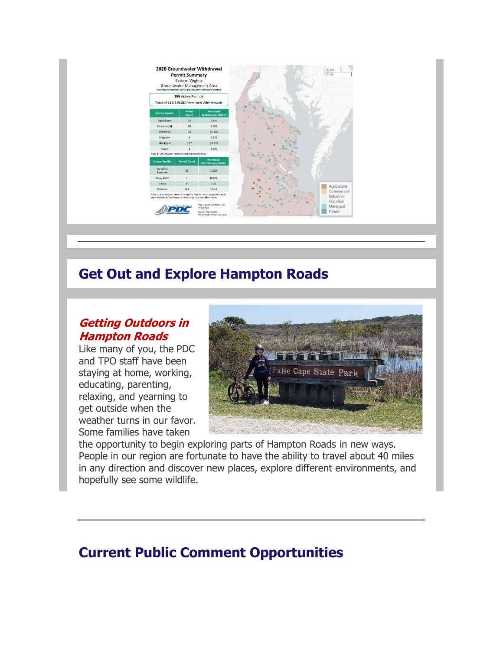

### **Get Out and Explore Hampton Roads**

### **[Getting Outdoors in](http://r20.rs6.net/tn.jsp?f=001xVPhqpZI081hprNcaf994tpyg76mSqhsMaj9qr1Jlgggzn3WO_diloMS2oiXNbGUm8wR84apFTYSTzB8vSiIbC0DsqEAo3kgowkD0xkK-iktgy_WbDbJ4MWyJ0S_0Hm4hyglsOMtTpt1tmileOCiQ1JXYMwyxG9J9lxRc_PPhIcbvtIJCRROkNg5966J53dDKnE45r_Lb_OxWlTc3jTQhj7z_qqMBy0E9Ra1xC7DWAg=&c=4jtw4Mi62eDeuBG1vKixEZj76Ayn14mZOPxQgSecdtK3nsNH4v7pQA==&ch=CK1oLEPfPlI8NQRNz-SDBQ53k4N-ekkjBko7UYgSQxTrWr1accsg0w==)  [Hampton Roads](http://r20.rs6.net/tn.jsp?f=001xVPhqpZI081hprNcaf994tpyg76mSqhsMaj9qr1Jlgggzn3WO_diloMS2oiXNbGUm8wR84apFTYSTzB8vSiIbC0DsqEAo3kgowkD0xkK-iktgy_WbDbJ4MWyJ0S_0Hm4hyglsOMtTpt1tmileOCiQ1JXYMwyxG9J9lxRc_PPhIcbvtIJCRROkNg5966J53dDKnE45r_Lb_OxWlTc3jTQhj7z_qqMBy0E9Ra1xC7DWAg=&c=4jtw4Mi62eDeuBG1vKixEZj76Ayn14mZOPxQgSecdtK3nsNH4v7pQA==&ch=CK1oLEPfPlI8NQRNz-SDBQ53k4N-ekkjBko7UYgSQxTrWr1accsg0w==)**

Like many of you, the PDC and TPO staff have been staying at home, working, educating, parenting, relaxing, and yearning to get outside when the weather turns in our favor. Some families have taken



the opportunity to begin exploring parts of Hampton Roads in new ways. People in our region are fortunate to have the ability to travel about 40 miles in any direction and discover new places, explore different environments, and hopefully see some wildlife.

# **Current Public Comment Opportunities**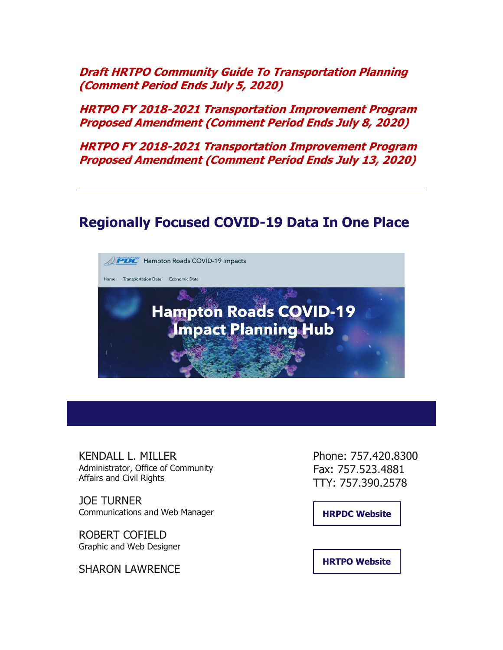**[Draft HRTPO Community Guide To Transportation Planning](http://r20.rs6.net/tn.jsp?f=001xVPhqpZI081hprNcaf994tpyg76mSqhsMaj9qr1Jlgggzn3WO_diloMS2oiXNbGUT_QLk_O-Ai6stlncNAGLg6MRtBY5UYrvR0WYcfZiO-DtfTiQhsfYeZU4NHbwdyAFAvbxram6vUYh2_FFyllLAyGzMUx4NKuP7DEwccLOXanQiHxX5eUIOk3XvlsmmP3FF0vagKOkkbyTq1vWBark_w==&c=4jtw4Mi62eDeuBG1vKixEZj76Ayn14mZOPxQgSecdtK3nsNH4v7pQA==&ch=CK1oLEPfPlI8NQRNz-SDBQ53k4N-ekkjBko7UYgSQxTrWr1accsg0w==)  [\(Comment Period Ends July 5, 2020\)](http://r20.rs6.net/tn.jsp?f=001xVPhqpZI081hprNcaf994tpyg76mSqhsMaj9qr1Jlgggzn3WO_diloMS2oiXNbGUT_QLk_O-Ai6stlncNAGLg6MRtBY5UYrvR0WYcfZiO-DtfTiQhsfYeZU4NHbwdyAFAvbxram6vUYh2_FFyllLAyGzMUx4NKuP7DEwccLOXanQiHxX5eUIOk3XvlsmmP3FF0vagKOkkbyTq1vWBark_w==&c=4jtw4Mi62eDeuBG1vKixEZj76Ayn14mZOPxQgSecdtK3nsNH4v7pQA==&ch=CK1oLEPfPlI8NQRNz-SDBQ53k4N-ekkjBko7UYgSQxTrWr1accsg0w==)**

**[HRTPO FY 2018-2021 Transportation Improvement Program](http://r20.rs6.net/tn.jsp?f=001xVPhqpZI081hprNcaf994tpyg76mSqhsMaj9qr1Jlgggzn3WO_diloMS2oiXNbGUcXVibDQ6L4_QHTM6OfgMcbKY_HW8sqwCJoixO3X40Uhp4bNag5b74U6wfeGM_OO56HR2DaVzhMexkIi7wx6kUfP40BXzyMFNOiKbG9t5lXwkFhiT65aBcWgLy1rYQ4KkzJh7tUayjug=&c=4jtw4Mi62eDeuBG1vKixEZj76Ayn14mZOPxQgSecdtK3nsNH4v7pQA==&ch=CK1oLEPfPlI8NQRNz-SDBQ53k4N-ekkjBko7UYgSQxTrWr1accsg0w==)  [Proposed Amendment \(Comment Period Ends July 8, 2020\)](http://r20.rs6.net/tn.jsp?f=001xVPhqpZI081hprNcaf994tpyg76mSqhsMaj9qr1Jlgggzn3WO_diloMS2oiXNbGUcXVibDQ6L4_QHTM6OfgMcbKY_HW8sqwCJoixO3X40Uhp4bNag5b74U6wfeGM_OO56HR2DaVzhMexkIi7wx6kUfP40BXzyMFNOiKbG9t5lXwkFhiT65aBcWgLy1rYQ4KkzJh7tUayjug=&c=4jtw4Mi62eDeuBG1vKixEZj76Ayn14mZOPxQgSecdtK3nsNH4v7pQA==&ch=CK1oLEPfPlI8NQRNz-SDBQ53k4N-ekkjBko7UYgSQxTrWr1accsg0w==)**

**[HRTPO FY 2018-2021 Transportation Improvement Program](http://r20.rs6.net/tn.jsp?f=001xVPhqpZI081hprNcaf994tpyg76mSqhsMaj9qr1Jlgggzn3WO_diloMS2oiXNbGUvBR0tR4rNoeDqydicPbwr5L6-k9jdiZ0seuNGqkEpbZHsuQ_16HyN4iJf__n8TBNyS14x4DxT4cMO-COxNFHzdc76y0Aqebx74j750_d5MPpT_5EnNNEbDLWJmDCxcrnlorv1yUnQIU=&c=4jtw4Mi62eDeuBG1vKixEZj76Ayn14mZOPxQgSecdtK3nsNH4v7pQA==&ch=CK1oLEPfPlI8NQRNz-SDBQ53k4N-ekkjBko7UYgSQxTrWr1accsg0w==)  [Proposed Amendment \(Comment Period Ends July 13, 2020\)](http://r20.rs6.net/tn.jsp?f=001xVPhqpZI081hprNcaf994tpyg76mSqhsMaj9qr1Jlgggzn3WO_diloMS2oiXNbGUvBR0tR4rNoeDqydicPbwr5L6-k9jdiZ0seuNGqkEpbZHsuQ_16HyN4iJf__n8TBNyS14x4DxT4cMO-COxNFHzdc76y0Aqebx74j750_d5MPpT_5EnNNEbDLWJmDCxcrnlorv1yUnQIU=&c=4jtw4Mi62eDeuBG1vKixEZj76Ayn14mZOPxQgSecdtK3nsNH4v7pQA==&ch=CK1oLEPfPlI8NQRNz-SDBQ53k4N-ekkjBko7UYgSQxTrWr1accsg0w==)**

### **Regionally Focused COVID-19 Data In One Place**



KENDALL L. MILLER Administrator, Office of Community Affairs and Civil Rights

JOE TURNER Communications and Web Manager

ROBERT COFIELD Graphic and Web Designer

SHARON LAWRENCE

Phone: 757.420.8300 Fax: 757.523.4881 TTY: 757.390.2578

**[HRPDC Website](http://r20.rs6.net/tn.jsp?f=001xVPhqpZI081hprNcaf994tpyg76mSqhsMaj9qr1Jlgggzn3WO_dilshypkEaZlLd4Xxqa6K2aVD9x7QWEZx6Uf4RjCFW2u47Y09OpnKyL7f98lS0Ff9QLPbgeueqkS0EihKiZMO4P5L1cEgCaLYG7Q==&c=4jtw4Mi62eDeuBG1vKixEZj76Ayn14mZOPxQgSecdtK3nsNH4v7pQA==&ch=CK1oLEPfPlI8NQRNz-SDBQ53k4N-ekkjBko7UYgSQxTrWr1accsg0w==)**

**[HRTPO Website](http://r20.rs6.net/tn.jsp?f=001xVPhqpZI081hprNcaf994tpyg76mSqhsMaj9qr1Jlgggzn3WO_dilshypkEaZlLd_X0xL8MzssAejGilZMoDOMqhyCRJpfEdYUlpxhuwV7jaoMMruCxAQ3NAni5_Tu_9TPdzpMkheDs=&c=4jtw4Mi62eDeuBG1vKixEZj76Ayn14mZOPxQgSecdtK3nsNH4v7pQA==&ch=CK1oLEPfPlI8NQRNz-SDBQ53k4N-ekkjBko7UYgSQxTrWr1accsg0w==)**